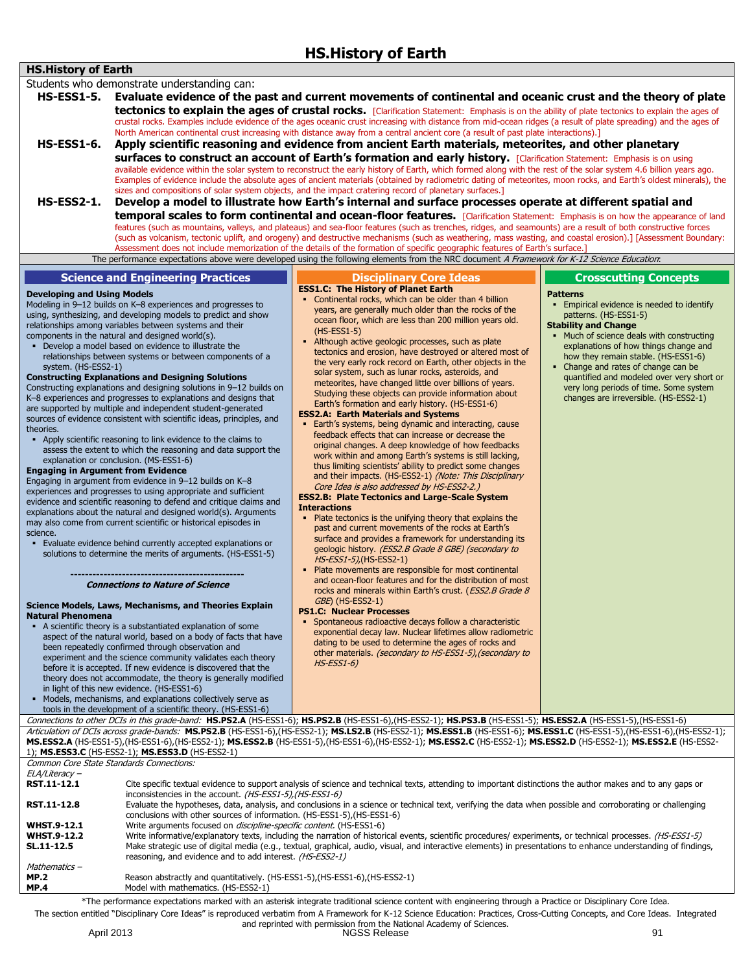| <b>HS.History of Earth</b><br><b>HS.History of Earth</b><br>Students who demonstrate understanding can:<br>HS-ESS1-5. Evaluate evidence of the past and current movements of continental and oceanic crust and the theory of plate<br>tectonics to explain the ages of crustal rocks. [Clarification Statement: Emphasis is on the ability of plate tectonics to explain the ages of<br>crustal rocks. Examples include evidence of the ages oceanic crust increasing with distance from mid-ocean ridges (a result of plate spreading) and the ages of<br>North American continental crust increasing with distance away from a central ancient core (a result of past plate interactions).]<br>$HS$ -ESS1-6.<br>Apply scientific reasoning and evidence from ancient Earth materials, meteorites, and other planetary<br>surfaces to construct an account of Earth's formation and early history. [Clarification Statement: Emphasis is on using<br>available evidence within the solar system to reconstruct the early history of Earth, which formed along with the rest of the solar system 4.6 billion years ago.<br>Examples of evidence include the absolute ages of ancient materials (obtained by radiometric dating of meteorites, moon rocks, and Earth's oldest minerals), the<br>sizes and compositions of solar system objects, and the impact cratering record of planetary surfaces.]<br><b>HS-ESS2-1.</b><br>Develop a model to illustrate how Earth's internal and surface processes operate at different spatial and<br>temporal scales to form continental and ocean-floor features. [Clarification Statement: Emphasis is on how the appearance of land<br>features (such as mountains, valleys, and plateaus) and sea-floor features (such as trenches, ridges, and seamounts) are a result of both constructive forces<br>(such as volcanism, tectonic uplift, and orogeny) and destructive mechanisms (such as weathering, mass wasting, and coastal erosion).] [Assessment Boundary:<br>Assessment does not include memorization of the details of the formation of specific geographic features of Earth's surface.]<br>The performance expectations above were developed using the following elements from the NRC document A Framework for K-12 Science Education:<br><b>Science and Engineering Practices</b><br><b>Crosscutting Concepts</b><br><b>Disciplinary Core Ideas</b><br><b>ESS1.C: The History of Planet Earth</b><br><b>Developing and Using Models</b><br><b>Patterns</b><br>Continental rocks, which can be older than 4 billion<br>Modeling in 9-12 builds on K-8 experiences and progresses to<br>• Empirical evidence is needed to identify<br>years, are generally much older than the rocks of the<br>using, synthesizing, and developing models to predict and show<br>patterns. (HS-ESS1-5)<br>ocean floor, which are less than 200 million years old.<br>relationships among variables between systems and their<br><b>Stability and Change</b><br>$(HS-ESS1-5)$<br>components in the natural and designed world(s).<br>• Much of science deals with constructing<br>• Although active geologic processes, such as plate<br>Develop a model based on evidence to illustrate the<br>explanations of how things change and<br>tectonics and erosion, have destroyed or altered most of<br>relationships between systems or between components of a<br>how they remain stable. (HS-ESS1-6)<br>the very early rock record on Earth, other objects in the<br>• Change and rates of change can be<br>system. (HS-ESS2-1)<br>solar system, such as lunar rocks, asteroids, and<br><b>Constructing Explanations and Designing Solutions</b><br>meteorites, have changed little over billions of years.<br>Constructing explanations and designing solutions in 9-12 builds on<br>very long periods of time. Some system<br>Studying these objects can provide information about<br>K-8 experiences and progresses to explanations and designs that<br>changes are irreversible. (HS-ESS2-1)<br>Earth's formation and early history. (HS-ESS1-6)<br>are supported by multiple and independent student-generated<br><b>ESS2.A: Earth Materials and Systems</b><br>sources of evidence consistent with scientific ideas, principles, and<br>Earth's systems, being dynamic and interacting, cause<br>theories.<br>feedback effects that can increase or decrease the<br>Apply scientific reasoning to link evidence to the claims to<br>٠.<br>original changes. A deep knowledge of how feedbacks<br>assess the extent to which the reasoning and data support the |                                                                                                                                    |  |                                                         |                                           |
|-------------------------------------------------------------------------------------------------------------------------------------------------------------------------------------------------------------------------------------------------------------------------------------------------------------------------------------------------------------------------------------------------------------------------------------------------------------------------------------------------------------------------------------------------------------------------------------------------------------------------------------------------------------------------------------------------------------------------------------------------------------------------------------------------------------------------------------------------------------------------------------------------------------------------------------------------------------------------------------------------------------------------------------------------------------------------------------------------------------------------------------------------------------------------------------------------------------------------------------------------------------------------------------------------------------------------------------------------------------------------------------------------------------------------------------------------------------------------------------------------------------------------------------------------------------------------------------------------------------------------------------------------------------------------------------------------------------------------------------------------------------------------------------------------------------------------------------------------------------------------------------------------------------------------------------------------------------------------------------------------------------------------------------------------------------------------------------------------------------------------------------------------------------------------------------------------------------------------------------------------------------------------------------------------------------------------------------------------------------------------------------------------------------------------------------------------------------------------------------------------------------------------------------------------------------------------------------------------------------------------------------------------------------------------------------------------------------------------------------------------------------------------------------------------------------------------------------------------------------------------------------------------------------------------------------------------------------------------------------------------------------------------------------------------------------------------------------------------------------------------------------------------------------------------------------------------------------------------------------------------------------------------------------------------------------------------------------------------------------------------------------------------------------------------------------------------------------------------------------------------------------------------------------------------------------------------------------------------------------------------------------------------------------------------------------------------------------------------------------------------------------------------------------------------------------------------------------------------------------------------------------------------------------------------------------------------------------------------------------------------------------------------------------------------------------------------------------------------------------------------------------------------------------------------------------------------------------------------------------------------------------------------------------------------------------------------------------------------------------------------------------------------------------------------------------------------------------------------------------------------------------------------------------------------------------------------------------------------------------|------------------------------------------------------------------------------------------------------------------------------------|--|---------------------------------------------------------|-------------------------------------------|
|                                                                                                                                                                                                                                                                                                                                                                                                                                                                                                                                                                                                                                                                                                                                                                                                                                                                                                                                                                                                                                                                                                                                                                                                                                                                                                                                                                                                                                                                                                                                                                                                                                                                                                                                                                                                                                                                                                                                                                                                                                                                                                                                                                                                                                                                                                                                                                                                                                                                                                                                                                                                                                                                                                                                                                                                                                                                                                                                                                                                                                                                                                                                                                                                                                                                                                                                                                                                                                                                                                                                                                                                                                                                                                                                                                                                                                                                                                                                                                                                                                                                                                                                                                                                                                                                                                                                                                                                                                                                                                                                                                                                             |                                                                                                                                    |  |                                                         |                                           |
|                                                                                                                                                                                                                                                                                                                                                                                                                                                                                                                                                                                                                                                                                                                                                                                                                                                                                                                                                                                                                                                                                                                                                                                                                                                                                                                                                                                                                                                                                                                                                                                                                                                                                                                                                                                                                                                                                                                                                                                                                                                                                                                                                                                                                                                                                                                                                                                                                                                                                                                                                                                                                                                                                                                                                                                                                                                                                                                                                                                                                                                                                                                                                                                                                                                                                                                                                                                                                                                                                                                                                                                                                                                                                                                                                                                                                                                                                                                                                                                                                                                                                                                                                                                                                                                                                                                                                                                                                                                                                                                                                                                                             |                                                                                                                                    |  |                                                         |                                           |
|                                                                                                                                                                                                                                                                                                                                                                                                                                                                                                                                                                                                                                                                                                                                                                                                                                                                                                                                                                                                                                                                                                                                                                                                                                                                                                                                                                                                                                                                                                                                                                                                                                                                                                                                                                                                                                                                                                                                                                                                                                                                                                                                                                                                                                                                                                                                                                                                                                                                                                                                                                                                                                                                                                                                                                                                                                                                                                                                                                                                                                                                                                                                                                                                                                                                                                                                                                                                                                                                                                                                                                                                                                                                                                                                                                                                                                                                                                                                                                                                                                                                                                                                                                                                                                                                                                                                                                                                                                                                                                                                                                                                             |                                                                                                                                    |  |                                                         |                                           |
|                                                                                                                                                                                                                                                                                                                                                                                                                                                                                                                                                                                                                                                                                                                                                                                                                                                                                                                                                                                                                                                                                                                                                                                                                                                                                                                                                                                                                                                                                                                                                                                                                                                                                                                                                                                                                                                                                                                                                                                                                                                                                                                                                                                                                                                                                                                                                                                                                                                                                                                                                                                                                                                                                                                                                                                                                                                                                                                                                                                                                                                                                                                                                                                                                                                                                                                                                                                                                                                                                                                                                                                                                                                                                                                                                                                                                                                                                                                                                                                                                                                                                                                                                                                                                                                                                                                                                                                                                                                                                                                                                                                                             |                                                                                                                                    |  |                                                         |                                           |
|                                                                                                                                                                                                                                                                                                                                                                                                                                                                                                                                                                                                                                                                                                                                                                                                                                                                                                                                                                                                                                                                                                                                                                                                                                                                                                                                                                                                                                                                                                                                                                                                                                                                                                                                                                                                                                                                                                                                                                                                                                                                                                                                                                                                                                                                                                                                                                                                                                                                                                                                                                                                                                                                                                                                                                                                                                                                                                                                                                                                                                                                                                                                                                                                                                                                                                                                                                                                                                                                                                                                                                                                                                                                                                                                                                                                                                                                                                                                                                                                                                                                                                                                                                                                                                                                                                                                                                                                                                                                                                                                                                                                             |                                                                                                                                    |  |                                                         |                                           |
|                                                                                                                                                                                                                                                                                                                                                                                                                                                                                                                                                                                                                                                                                                                                                                                                                                                                                                                                                                                                                                                                                                                                                                                                                                                                                                                                                                                                                                                                                                                                                                                                                                                                                                                                                                                                                                                                                                                                                                                                                                                                                                                                                                                                                                                                                                                                                                                                                                                                                                                                                                                                                                                                                                                                                                                                                                                                                                                                                                                                                                                                                                                                                                                                                                                                                                                                                                                                                                                                                                                                                                                                                                                                                                                                                                                                                                                                                                                                                                                                                                                                                                                                                                                                                                                                                                                                                                                                                                                                                                                                                                                                             |                                                                                                                                    |  |                                                         |                                           |
|                                                                                                                                                                                                                                                                                                                                                                                                                                                                                                                                                                                                                                                                                                                                                                                                                                                                                                                                                                                                                                                                                                                                                                                                                                                                                                                                                                                                                                                                                                                                                                                                                                                                                                                                                                                                                                                                                                                                                                                                                                                                                                                                                                                                                                                                                                                                                                                                                                                                                                                                                                                                                                                                                                                                                                                                                                                                                                                                                                                                                                                                                                                                                                                                                                                                                                                                                                                                                                                                                                                                                                                                                                                                                                                                                                                                                                                                                                                                                                                                                                                                                                                                                                                                                                                                                                                                                                                                                                                                                                                                                                                                             |                                                                                                                                    |  |                                                         |                                           |
|                                                                                                                                                                                                                                                                                                                                                                                                                                                                                                                                                                                                                                                                                                                                                                                                                                                                                                                                                                                                                                                                                                                                                                                                                                                                                                                                                                                                                                                                                                                                                                                                                                                                                                                                                                                                                                                                                                                                                                                                                                                                                                                                                                                                                                                                                                                                                                                                                                                                                                                                                                                                                                                                                                                                                                                                                                                                                                                                                                                                                                                                                                                                                                                                                                                                                                                                                                                                                                                                                                                                                                                                                                                                                                                                                                                                                                                                                                                                                                                                                                                                                                                                                                                                                                                                                                                                                                                                                                                                                                                                                                                                             |                                                                                                                                    |  |                                                         |                                           |
|                                                                                                                                                                                                                                                                                                                                                                                                                                                                                                                                                                                                                                                                                                                                                                                                                                                                                                                                                                                                                                                                                                                                                                                                                                                                                                                                                                                                                                                                                                                                                                                                                                                                                                                                                                                                                                                                                                                                                                                                                                                                                                                                                                                                                                                                                                                                                                                                                                                                                                                                                                                                                                                                                                                                                                                                                                                                                                                                                                                                                                                                                                                                                                                                                                                                                                                                                                                                                                                                                                                                                                                                                                                                                                                                                                                                                                                                                                                                                                                                                                                                                                                                                                                                                                                                                                                                                                                                                                                                                                                                                                                                             |                                                                                                                                    |  |                                                         |                                           |
|                                                                                                                                                                                                                                                                                                                                                                                                                                                                                                                                                                                                                                                                                                                                                                                                                                                                                                                                                                                                                                                                                                                                                                                                                                                                                                                                                                                                                                                                                                                                                                                                                                                                                                                                                                                                                                                                                                                                                                                                                                                                                                                                                                                                                                                                                                                                                                                                                                                                                                                                                                                                                                                                                                                                                                                                                                                                                                                                                                                                                                                                                                                                                                                                                                                                                                                                                                                                                                                                                                                                                                                                                                                                                                                                                                                                                                                                                                                                                                                                                                                                                                                                                                                                                                                                                                                                                                                                                                                                                                                                                                                                             |                                                                                                                                    |  |                                                         |                                           |
|                                                                                                                                                                                                                                                                                                                                                                                                                                                                                                                                                                                                                                                                                                                                                                                                                                                                                                                                                                                                                                                                                                                                                                                                                                                                                                                                                                                                                                                                                                                                                                                                                                                                                                                                                                                                                                                                                                                                                                                                                                                                                                                                                                                                                                                                                                                                                                                                                                                                                                                                                                                                                                                                                                                                                                                                                                                                                                                                                                                                                                                                                                                                                                                                                                                                                                                                                                                                                                                                                                                                                                                                                                                                                                                                                                                                                                                                                                                                                                                                                                                                                                                                                                                                                                                                                                                                                                                                                                                                                                                                                                                                             |                                                                                                                                    |  |                                                         |                                           |
|                                                                                                                                                                                                                                                                                                                                                                                                                                                                                                                                                                                                                                                                                                                                                                                                                                                                                                                                                                                                                                                                                                                                                                                                                                                                                                                                                                                                                                                                                                                                                                                                                                                                                                                                                                                                                                                                                                                                                                                                                                                                                                                                                                                                                                                                                                                                                                                                                                                                                                                                                                                                                                                                                                                                                                                                                                                                                                                                                                                                                                                                                                                                                                                                                                                                                                                                                                                                                                                                                                                                                                                                                                                                                                                                                                                                                                                                                                                                                                                                                                                                                                                                                                                                                                                                                                                                                                                                                                                                                                                                                                                                             |                                                                                                                                    |  |                                                         |                                           |
|                                                                                                                                                                                                                                                                                                                                                                                                                                                                                                                                                                                                                                                                                                                                                                                                                                                                                                                                                                                                                                                                                                                                                                                                                                                                                                                                                                                                                                                                                                                                                                                                                                                                                                                                                                                                                                                                                                                                                                                                                                                                                                                                                                                                                                                                                                                                                                                                                                                                                                                                                                                                                                                                                                                                                                                                                                                                                                                                                                                                                                                                                                                                                                                                                                                                                                                                                                                                                                                                                                                                                                                                                                                                                                                                                                                                                                                                                                                                                                                                                                                                                                                                                                                                                                                                                                                                                                                                                                                                                                                                                                                                             |                                                                                                                                    |  |                                                         |                                           |
|                                                                                                                                                                                                                                                                                                                                                                                                                                                                                                                                                                                                                                                                                                                                                                                                                                                                                                                                                                                                                                                                                                                                                                                                                                                                                                                                                                                                                                                                                                                                                                                                                                                                                                                                                                                                                                                                                                                                                                                                                                                                                                                                                                                                                                                                                                                                                                                                                                                                                                                                                                                                                                                                                                                                                                                                                                                                                                                                                                                                                                                                                                                                                                                                                                                                                                                                                                                                                                                                                                                                                                                                                                                                                                                                                                                                                                                                                                                                                                                                                                                                                                                                                                                                                                                                                                                                                                                                                                                                                                                                                                                                             |                                                                                                                                    |  |                                                         |                                           |
|                                                                                                                                                                                                                                                                                                                                                                                                                                                                                                                                                                                                                                                                                                                                                                                                                                                                                                                                                                                                                                                                                                                                                                                                                                                                                                                                                                                                                                                                                                                                                                                                                                                                                                                                                                                                                                                                                                                                                                                                                                                                                                                                                                                                                                                                                                                                                                                                                                                                                                                                                                                                                                                                                                                                                                                                                                                                                                                                                                                                                                                                                                                                                                                                                                                                                                                                                                                                                                                                                                                                                                                                                                                                                                                                                                                                                                                                                                                                                                                                                                                                                                                                                                                                                                                                                                                                                                                                                                                                                                                                                                                                             |                                                                                                                                    |  |                                                         |                                           |
|                                                                                                                                                                                                                                                                                                                                                                                                                                                                                                                                                                                                                                                                                                                                                                                                                                                                                                                                                                                                                                                                                                                                                                                                                                                                                                                                                                                                                                                                                                                                                                                                                                                                                                                                                                                                                                                                                                                                                                                                                                                                                                                                                                                                                                                                                                                                                                                                                                                                                                                                                                                                                                                                                                                                                                                                                                                                                                                                                                                                                                                                                                                                                                                                                                                                                                                                                                                                                                                                                                                                                                                                                                                                                                                                                                                                                                                                                                                                                                                                                                                                                                                                                                                                                                                                                                                                                                                                                                                                                                                                                                                                             |                                                                                                                                    |  |                                                         |                                           |
|                                                                                                                                                                                                                                                                                                                                                                                                                                                                                                                                                                                                                                                                                                                                                                                                                                                                                                                                                                                                                                                                                                                                                                                                                                                                                                                                                                                                                                                                                                                                                                                                                                                                                                                                                                                                                                                                                                                                                                                                                                                                                                                                                                                                                                                                                                                                                                                                                                                                                                                                                                                                                                                                                                                                                                                                                                                                                                                                                                                                                                                                                                                                                                                                                                                                                                                                                                                                                                                                                                                                                                                                                                                                                                                                                                                                                                                                                                                                                                                                                                                                                                                                                                                                                                                                                                                                                                                                                                                                                                                                                                                                             |                                                                                                                                    |  |                                                         |                                           |
|                                                                                                                                                                                                                                                                                                                                                                                                                                                                                                                                                                                                                                                                                                                                                                                                                                                                                                                                                                                                                                                                                                                                                                                                                                                                                                                                                                                                                                                                                                                                                                                                                                                                                                                                                                                                                                                                                                                                                                                                                                                                                                                                                                                                                                                                                                                                                                                                                                                                                                                                                                                                                                                                                                                                                                                                                                                                                                                                                                                                                                                                                                                                                                                                                                                                                                                                                                                                                                                                                                                                                                                                                                                                                                                                                                                                                                                                                                                                                                                                                                                                                                                                                                                                                                                                                                                                                                                                                                                                                                                                                                                                             |                                                                                                                                    |  |                                                         |                                           |
|                                                                                                                                                                                                                                                                                                                                                                                                                                                                                                                                                                                                                                                                                                                                                                                                                                                                                                                                                                                                                                                                                                                                                                                                                                                                                                                                                                                                                                                                                                                                                                                                                                                                                                                                                                                                                                                                                                                                                                                                                                                                                                                                                                                                                                                                                                                                                                                                                                                                                                                                                                                                                                                                                                                                                                                                                                                                                                                                                                                                                                                                                                                                                                                                                                                                                                                                                                                                                                                                                                                                                                                                                                                                                                                                                                                                                                                                                                                                                                                                                                                                                                                                                                                                                                                                                                                                                                                                                                                                                                                                                                                                             |                                                                                                                                    |  |                                                         |                                           |
|                                                                                                                                                                                                                                                                                                                                                                                                                                                                                                                                                                                                                                                                                                                                                                                                                                                                                                                                                                                                                                                                                                                                                                                                                                                                                                                                                                                                                                                                                                                                                                                                                                                                                                                                                                                                                                                                                                                                                                                                                                                                                                                                                                                                                                                                                                                                                                                                                                                                                                                                                                                                                                                                                                                                                                                                                                                                                                                                                                                                                                                                                                                                                                                                                                                                                                                                                                                                                                                                                                                                                                                                                                                                                                                                                                                                                                                                                                                                                                                                                                                                                                                                                                                                                                                                                                                                                                                                                                                                                                                                                                                                             |                                                                                                                                    |  |                                                         |                                           |
|                                                                                                                                                                                                                                                                                                                                                                                                                                                                                                                                                                                                                                                                                                                                                                                                                                                                                                                                                                                                                                                                                                                                                                                                                                                                                                                                                                                                                                                                                                                                                                                                                                                                                                                                                                                                                                                                                                                                                                                                                                                                                                                                                                                                                                                                                                                                                                                                                                                                                                                                                                                                                                                                                                                                                                                                                                                                                                                                                                                                                                                                                                                                                                                                                                                                                                                                                                                                                                                                                                                                                                                                                                                                                                                                                                                                                                                                                                                                                                                                                                                                                                                                                                                                                                                                                                                                                                                                                                                                                                                                                                                                             |                                                                                                                                    |  |                                                         |                                           |
|                                                                                                                                                                                                                                                                                                                                                                                                                                                                                                                                                                                                                                                                                                                                                                                                                                                                                                                                                                                                                                                                                                                                                                                                                                                                                                                                                                                                                                                                                                                                                                                                                                                                                                                                                                                                                                                                                                                                                                                                                                                                                                                                                                                                                                                                                                                                                                                                                                                                                                                                                                                                                                                                                                                                                                                                                                                                                                                                                                                                                                                                                                                                                                                                                                                                                                                                                                                                                                                                                                                                                                                                                                                                                                                                                                                                                                                                                                                                                                                                                                                                                                                                                                                                                                                                                                                                                                                                                                                                                                                                                                                                             |                                                                                                                                    |  |                                                         |                                           |
|                                                                                                                                                                                                                                                                                                                                                                                                                                                                                                                                                                                                                                                                                                                                                                                                                                                                                                                                                                                                                                                                                                                                                                                                                                                                                                                                                                                                                                                                                                                                                                                                                                                                                                                                                                                                                                                                                                                                                                                                                                                                                                                                                                                                                                                                                                                                                                                                                                                                                                                                                                                                                                                                                                                                                                                                                                                                                                                                                                                                                                                                                                                                                                                                                                                                                                                                                                                                                                                                                                                                                                                                                                                                                                                                                                                                                                                                                                                                                                                                                                                                                                                                                                                                                                                                                                                                                                                                                                                                                                                                                                                                             |                                                                                                                                    |  |                                                         |                                           |
|                                                                                                                                                                                                                                                                                                                                                                                                                                                                                                                                                                                                                                                                                                                                                                                                                                                                                                                                                                                                                                                                                                                                                                                                                                                                                                                                                                                                                                                                                                                                                                                                                                                                                                                                                                                                                                                                                                                                                                                                                                                                                                                                                                                                                                                                                                                                                                                                                                                                                                                                                                                                                                                                                                                                                                                                                                                                                                                                                                                                                                                                                                                                                                                                                                                                                                                                                                                                                                                                                                                                                                                                                                                                                                                                                                                                                                                                                                                                                                                                                                                                                                                                                                                                                                                                                                                                                                                                                                                                                                                                                                                                             |                                                                                                                                    |  |                                                         | quantified and modeled over very short or |
|                                                                                                                                                                                                                                                                                                                                                                                                                                                                                                                                                                                                                                                                                                                                                                                                                                                                                                                                                                                                                                                                                                                                                                                                                                                                                                                                                                                                                                                                                                                                                                                                                                                                                                                                                                                                                                                                                                                                                                                                                                                                                                                                                                                                                                                                                                                                                                                                                                                                                                                                                                                                                                                                                                                                                                                                                                                                                                                                                                                                                                                                                                                                                                                                                                                                                                                                                                                                                                                                                                                                                                                                                                                                                                                                                                                                                                                                                                                                                                                                                                                                                                                                                                                                                                                                                                                                                                                                                                                                                                                                                                                                             |                                                                                                                                    |  |                                                         |                                           |
|                                                                                                                                                                                                                                                                                                                                                                                                                                                                                                                                                                                                                                                                                                                                                                                                                                                                                                                                                                                                                                                                                                                                                                                                                                                                                                                                                                                                                                                                                                                                                                                                                                                                                                                                                                                                                                                                                                                                                                                                                                                                                                                                                                                                                                                                                                                                                                                                                                                                                                                                                                                                                                                                                                                                                                                                                                                                                                                                                                                                                                                                                                                                                                                                                                                                                                                                                                                                                                                                                                                                                                                                                                                                                                                                                                                                                                                                                                                                                                                                                                                                                                                                                                                                                                                                                                                                                                                                                                                                                                                                                                                                             |                                                                                                                                    |  |                                                         |                                           |
|                                                                                                                                                                                                                                                                                                                                                                                                                                                                                                                                                                                                                                                                                                                                                                                                                                                                                                                                                                                                                                                                                                                                                                                                                                                                                                                                                                                                                                                                                                                                                                                                                                                                                                                                                                                                                                                                                                                                                                                                                                                                                                                                                                                                                                                                                                                                                                                                                                                                                                                                                                                                                                                                                                                                                                                                                                                                                                                                                                                                                                                                                                                                                                                                                                                                                                                                                                                                                                                                                                                                                                                                                                                                                                                                                                                                                                                                                                                                                                                                                                                                                                                                                                                                                                                                                                                                                                                                                                                                                                                                                                                                             |                                                                                                                                    |  |                                                         |                                           |
|                                                                                                                                                                                                                                                                                                                                                                                                                                                                                                                                                                                                                                                                                                                                                                                                                                                                                                                                                                                                                                                                                                                                                                                                                                                                                                                                                                                                                                                                                                                                                                                                                                                                                                                                                                                                                                                                                                                                                                                                                                                                                                                                                                                                                                                                                                                                                                                                                                                                                                                                                                                                                                                                                                                                                                                                                                                                                                                                                                                                                                                                                                                                                                                                                                                                                                                                                                                                                                                                                                                                                                                                                                                                                                                                                                                                                                                                                                                                                                                                                                                                                                                                                                                                                                                                                                                                                                                                                                                                                                                                                                                                             |                                                                                                                                    |  |                                                         |                                           |
|                                                                                                                                                                                                                                                                                                                                                                                                                                                                                                                                                                                                                                                                                                                                                                                                                                                                                                                                                                                                                                                                                                                                                                                                                                                                                                                                                                                                                                                                                                                                                                                                                                                                                                                                                                                                                                                                                                                                                                                                                                                                                                                                                                                                                                                                                                                                                                                                                                                                                                                                                                                                                                                                                                                                                                                                                                                                                                                                                                                                                                                                                                                                                                                                                                                                                                                                                                                                                                                                                                                                                                                                                                                                                                                                                                                                                                                                                                                                                                                                                                                                                                                                                                                                                                                                                                                                                                                                                                                                                                                                                                                                             |                                                                                                                                    |  |                                                         |                                           |
| explanation or conclusion. (MS-ESS1-6)<br>thus limiting scientists' ability to predict some changes                                                                                                                                                                                                                                                                                                                                                                                                                                                                                                                                                                                                                                                                                                                                                                                                                                                                                                                                                                                                                                                                                                                                                                                                                                                                                                                                                                                                                                                                                                                                                                                                                                                                                                                                                                                                                                                                                                                                                                                                                                                                                                                                                                                                                                                                                                                                                                                                                                                                                                                                                                                                                                                                                                                                                                                                                                                                                                                                                                                                                                                                                                                                                                                                                                                                                                                                                                                                                                                                                                                                                                                                                                                                                                                                                                                                                                                                                                                                                                                                                                                                                                                                                                                                                                                                                                                                                                                                                                                                                                         |                                                                                                                                    |  | work within and among Earth's systems is still lacking, |                                           |
| and their impacts. (HS-ESS2-1) (Note: This Disciplinary                                                                                                                                                                                                                                                                                                                                                                                                                                                                                                                                                                                                                                                                                                                                                                                                                                                                                                                                                                                                                                                                                                                                                                                                                                                                                                                                                                                                                                                                                                                                                                                                                                                                                                                                                                                                                                                                                                                                                                                                                                                                                                                                                                                                                                                                                                                                                                                                                                                                                                                                                                                                                                                                                                                                                                                                                                                                                                                                                                                                                                                                                                                                                                                                                                                                                                                                                                                                                                                                                                                                                                                                                                                                                                                                                                                                                                                                                                                                                                                                                                                                                                                                                                                                                                                                                                                                                                                                                                                                                                                                                     | <b>Engaging in Argument from Evidence</b><br>Engaging in argument from evidence in 9-12 builds on K-8                              |  |                                                         |                                           |
| Core Idea is also addressed by HS-ESS2-2.)<br>experiences and progresses to using appropriate and sufficient                                                                                                                                                                                                                                                                                                                                                                                                                                                                                                                                                                                                                                                                                                                                                                                                                                                                                                                                                                                                                                                                                                                                                                                                                                                                                                                                                                                                                                                                                                                                                                                                                                                                                                                                                                                                                                                                                                                                                                                                                                                                                                                                                                                                                                                                                                                                                                                                                                                                                                                                                                                                                                                                                                                                                                                                                                                                                                                                                                                                                                                                                                                                                                                                                                                                                                                                                                                                                                                                                                                                                                                                                                                                                                                                                                                                                                                                                                                                                                                                                                                                                                                                                                                                                                                                                                                                                                                                                                                                                                |                                                                                                                                    |  |                                                         |                                           |
| <b>ESS2.B: Plate Tectonics and Large-Scale System</b><br>evidence and scientific reasoning to defend and critique claims and<br><b>Interactions</b>                                                                                                                                                                                                                                                                                                                                                                                                                                                                                                                                                                                                                                                                                                                                                                                                                                                                                                                                                                                                                                                                                                                                                                                                                                                                                                                                                                                                                                                                                                                                                                                                                                                                                                                                                                                                                                                                                                                                                                                                                                                                                                                                                                                                                                                                                                                                                                                                                                                                                                                                                                                                                                                                                                                                                                                                                                                                                                                                                                                                                                                                                                                                                                                                                                                                                                                                                                                                                                                                                                                                                                                                                                                                                                                                                                                                                                                                                                                                                                                                                                                                                                                                                                                                                                                                                                                                                                                                                                                         |                                                                                                                                    |  |                                                         |                                           |
| • Plate tectonics is the unifying theory that explains the                                                                                                                                                                                                                                                                                                                                                                                                                                                                                                                                                                                                                                                                                                                                                                                                                                                                                                                                                                                                                                                                                                                                                                                                                                                                                                                                                                                                                                                                                                                                                                                                                                                                                                                                                                                                                                                                                                                                                                                                                                                                                                                                                                                                                                                                                                                                                                                                                                                                                                                                                                                                                                                                                                                                                                                                                                                                                                                                                                                                                                                                                                                                                                                                                                                                                                                                                                                                                                                                                                                                                                                                                                                                                                                                                                                                                                                                                                                                                                                                                                                                                                                                                                                                                                                                                                                                                                                                                                                                                                                                                  | explanations about the natural and designed world(s). Arguments<br>may also come from current scientific or historical episodes in |  |                                                         |                                           |
| past and current movements of the rocks at Earth's<br>science.                                                                                                                                                                                                                                                                                                                                                                                                                                                                                                                                                                                                                                                                                                                                                                                                                                                                                                                                                                                                                                                                                                                                                                                                                                                                                                                                                                                                                                                                                                                                                                                                                                                                                                                                                                                                                                                                                                                                                                                                                                                                                                                                                                                                                                                                                                                                                                                                                                                                                                                                                                                                                                                                                                                                                                                                                                                                                                                                                                                                                                                                                                                                                                                                                                                                                                                                                                                                                                                                                                                                                                                                                                                                                                                                                                                                                                                                                                                                                                                                                                                                                                                                                                                                                                                                                                                                                                                                                                                                                                                                              |                                                                                                                                    |  |                                                         |                                           |
| surface and provides a framework for understanding its<br>• Evaluate evidence behind currently accepted explanations or<br>geologic history. (ESS2.B Grade 8 GBE) (secondary to                                                                                                                                                                                                                                                                                                                                                                                                                                                                                                                                                                                                                                                                                                                                                                                                                                                                                                                                                                                                                                                                                                                                                                                                                                                                                                                                                                                                                                                                                                                                                                                                                                                                                                                                                                                                                                                                                                                                                                                                                                                                                                                                                                                                                                                                                                                                                                                                                                                                                                                                                                                                                                                                                                                                                                                                                                                                                                                                                                                                                                                                                                                                                                                                                                                                                                                                                                                                                                                                                                                                                                                                                                                                                                                                                                                                                                                                                                                                                                                                                                                                                                                                                                                                                                                                                                                                                                                                                             |                                                                                                                                    |  |                                                         |                                           |
| solutions to determine the merits of arguments. (HS-ESS1-5)<br><i>HS-ESS1-5)</i> ,(HS-ESS2-1)                                                                                                                                                                                                                                                                                                                                                                                                                                                                                                                                                                                                                                                                                                                                                                                                                                                                                                                                                                                                                                                                                                                                                                                                                                                                                                                                                                                                                                                                                                                                                                                                                                                                                                                                                                                                                                                                                                                                                                                                                                                                                                                                                                                                                                                                                                                                                                                                                                                                                                                                                                                                                                                                                                                                                                                                                                                                                                                                                                                                                                                                                                                                                                                                                                                                                                                                                                                                                                                                                                                                                                                                                                                                                                                                                                                                                                                                                                                                                                                                                                                                                                                                                                                                                                                                                                                                                                                                                                                                                                               |                                                                                                                                    |  |                                                         |                                           |
| • Plate movements are responsible for most continental<br>and ocean-floor features and for the distribution of most                                                                                                                                                                                                                                                                                                                                                                                                                                                                                                                                                                                                                                                                                                                                                                                                                                                                                                                                                                                                                                                                                                                                                                                                                                                                                                                                                                                                                                                                                                                                                                                                                                                                                                                                                                                                                                                                                                                                                                                                                                                                                                                                                                                                                                                                                                                                                                                                                                                                                                                                                                                                                                                                                                                                                                                                                                                                                                                                                                                                                                                                                                                                                                                                                                                                                                                                                                                                                                                                                                                                                                                                                                                                                                                                                                                                                                                                                                                                                                                                                                                                                                                                                                                                                                                                                                                                                                                                                                                                                         |                                                                                                                                    |  |                                                         |                                           |
| <b>Connections to Nature of Science</b><br>rocks and minerals within Earth's crust. (ESS2.B Grade 8                                                                                                                                                                                                                                                                                                                                                                                                                                                                                                                                                                                                                                                                                                                                                                                                                                                                                                                                                                                                                                                                                                                                                                                                                                                                                                                                                                                                                                                                                                                                                                                                                                                                                                                                                                                                                                                                                                                                                                                                                                                                                                                                                                                                                                                                                                                                                                                                                                                                                                                                                                                                                                                                                                                                                                                                                                                                                                                                                                                                                                                                                                                                                                                                                                                                                                                                                                                                                                                                                                                                                                                                                                                                                                                                                                                                                                                                                                                                                                                                                                                                                                                                                                                                                                                                                                                                                                                                                                                                                                         |                                                                                                                                    |  |                                                         |                                           |
| <i>GBE</i> ) (HS-ESS2-1)                                                                                                                                                                                                                                                                                                                                                                                                                                                                                                                                                                                                                                                                                                                                                                                                                                                                                                                                                                                                                                                                                                                                                                                                                                                                                                                                                                                                                                                                                                                                                                                                                                                                                                                                                                                                                                                                                                                                                                                                                                                                                                                                                                                                                                                                                                                                                                                                                                                                                                                                                                                                                                                                                                                                                                                                                                                                                                                                                                                                                                                                                                                                                                                                                                                                                                                                                                                                                                                                                                                                                                                                                                                                                                                                                                                                                                                                                                                                                                                                                                                                                                                                                                                                                                                                                                                                                                                                                                                                                                                                                                                    | Science Models, Laws, Mechanisms, and Theories Explain                                                                             |  |                                                         |                                           |
| <b>PS1.C: Nuclear Processes</b><br><b>Natural Phenomena</b><br>Spontaneous radioactive decays follow a characteristic                                                                                                                                                                                                                                                                                                                                                                                                                                                                                                                                                                                                                                                                                                                                                                                                                                                                                                                                                                                                                                                                                                                                                                                                                                                                                                                                                                                                                                                                                                                                                                                                                                                                                                                                                                                                                                                                                                                                                                                                                                                                                                                                                                                                                                                                                                                                                                                                                                                                                                                                                                                                                                                                                                                                                                                                                                                                                                                                                                                                                                                                                                                                                                                                                                                                                                                                                                                                                                                                                                                                                                                                                                                                                                                                                                                                                                                                                                                                                                                                                                                                                                                                                                                                                                                                                                                                                                                                                                                                                       |                                                                                                                                    |  |                                                         |                                           |
| • A scientific theory is a substantiated explanation of some<br>exponential decay law. Nuclear lifetimes allow radiometric<br>aspect of the natural world, based on a body of facts that have                                                                                                                                                                                                                                                                                                                                                                                                                                                                                                                                                                                                                                                                                                                                                                                                                                                                                                                                                                                                                                                                                                                                                                                                                                                                                                                                                                                                                                                                                                                                                                                                                                                                                                                                                                                                                                                                                                                                                                                                                                                                                                                                                                                                                                                                                                                                                                                                                                                                                                                                                                                                                                                                                                                                                                                                                                                                                                                                                                                                                                                                                                                                                                                                                                                                                                                                                                                                                                                                                                                                                                                                                                                                                                                                                                                                                                                                                                                                                                                                                                                                                                                                                                                                                                                                                                                                                                                                               |                                                                                                                                    |  |                                                         |                                           |
| dating to be used to determine the ages of rocks and<br>been repeatedly confirmed through observation and                                                                                                                                                                                                                                                                                                                                                                                                                                                                                                                                                                                                                                                                                                                                                                                                                                                                                                                                                                                                                                                                                                                                                                                                                                                                                                                                                                                                                                                                                                                                                                                                                                                                                                                                                                                                                                                                                                                                                                                                                                                                                                                                                                                                                                                                                                                                                                                                                                                                                                                                                                                                                                                                                                                                                                                                                                                                                                                                                                                                                                                                                                                                                                                                                                                                                                                                                                                                                                                                                                                                                                                                                                                                                                                                                                                                                                                                                                                                                                                                                                                                                                                                                                                                                                                                                                                                                                                                                                                                                                   |                                                                                                                                    |  |                                                         |                                           |
| other materials. (secondary to HS-ESS1-5), (secondary to<br>experiment and the science community validates each theory<br>$HS$ -ESS1-6)                                                                                                                                                                                                                                                                                                                                                                                                                                                                                                                                                                                                                                                                                                                                                                                                                                                                                                                                                                                                                                                                                                                                                                                                                                                                                                                                                                                                                                                                                                                                                                                                                                                                                                                                                                                                                                                                                                                                                                                                                                                                                                                                                                                                                                                                                                                                                                                                                                                                                                                                                                                                                                                                                                                                                                                                                                                                                                                                                                                                                                                                                                                                                                                                                                                                                                                                                                                                                                                                                                                                                                                                                                                                                                                                                                                                                                                                                                                                                                                                                                                                                                                                                                                                                                                                                                                                                                                                                                                                     |                                                                                                                                    |  |                                                         |                                           |
| before it is accepted. If new evidence is discovered that the                                                                                                                                                                                                                                                                                                                                                                                                                                                                                                                                                                                                                                                                                                                                                                                                                                                                                                                                                                                                                                                                                                                                                                                                                                                                                                                                                                                                                                                                                                                                                                                                                                                                                                                                                                                                                                                                                                                                                                                                                                                                                                                                                                                                                                                                                                                                                                                                                                                                                                                                                                                                                                                                                                                                                                                                                                                                                                                                                                                                                                                                                                                                                                                                                                                                                                                                                                                                                                                                                                                                                                                                                                                                                                                                                                                                                                                                                                                                                                                                                                                                                                                                                                                                                                                                                                                                                                                                                                                                                                                                               |                                                                                                                                    |  |                                                         |                                           |
| in light of this new evidence. (HS-ESS1-6)                                                                                                                                                                                                                                                                                                                                                                                                                                                                                                                                                                                                                                                                                                                                                                                                                                                                                                                                                                                                                                                                                                                                                                                                                                                                                                                                                                                                                                                                                                                                                                                                                                                                                                                                                                                                                                                                                                                                                                                                                                                                                                                                                                                                                                                                                                                                                                                                                                                                                                                                                                                                                                                                                                                                                                                                                                                                                                                                                                                                                                                                                                                                                                                                                                                                                                                                                                                                                                                                                                                                                                                                                                                                                                                                                                                                                                                                                                                                                                                                                                                                                                                                                                                                                                                                                                                                                                                                                                                                                                                                                                  | theory does not accommodate, the theory is generally modified                                                                      |  |                                                         |                                           |
| • Models, mechanisms, and explanations collectively serve as                                                                                                                                                                                                                                                                                                                                                                                                                                                                                                                                                                                                                                                                                                                                                                                                                                                                                                                                                                                                                                                                                                                                                                                                                                                                                                                                                                                                                                                                                                                                                                                                                                                                                                                                                                                                                                                                                                                                                                                                                                                                                                                                                                                                                                                                                                                                                                                                                                                                                                                                                                                                                                                                                                                                                                                                                                                                                                                                                                                                                                                                                                                                                                                                                                                                                                                                                                                                                                                                                                                                                                                                                                                                                                                                                                                                                                                                                                                                                                                                                                                                                                                                                                                                                                                                                                                                                                                                                                                                                                                                                |                                                                                                                                    |  |                                                         |                                           |
| tools in the development of a scientific theory. (HS-ESS1-6)<br>Connections to other DCIs in this grade-band: HS.PS2.A (HS-ESS1-6); HS.PS2.B (HS-ESS1-6),(HS-ESS2-1); HS.PS3.B (HS-ESS1-5); HS.ESS2.A (HS-ESS1-5),(HS-ESS1-6)                                                                                                                                                                                                                                                                                                                                                                                                                                                                                                                                                                                                                                                                                                                                                                                                                                                                                                                                                                                                                                                                                                                                                                                                                                                                                                                                                                                                                                                                                                                                                                                                                                                                                                                                                                                                                                                                                                                                                                                                                                                                                                                                                                                                                                                                                                                                                                                                                                                                                                                                                                                                                                                                                                                                                                                                                                                                                                                                                                                                                                                                                                                                                                                                                                                                                                                                                                                                                                                                                                                                                                                                                                                                                                                                                                                                                                                                                                                                                                                                                                                                                                                                                                                                                                                                                                                                                                               |                                                                                                                                    |  |                                                         |                                           |

Articulation of DCIs across grade-bands: **MS.PS2.B** (HS-ESS1-6),(HS-ESS2-1); **MS.LS2.B** (HS-ESS2-1); **MS.ESS1.B** (HS-ESS1-6); **MS.ESS1.C** (HS-ESS1-5),(HS-ESS1-6),(HS-ESS2-1); **MS.ESS2.A** (HS-ESS1-5),(HS-ESS1-6),(HS-ESS2-1); **MS.ESS2.B** (HS-ESS1-5),(HS-ESS1-6),(HS-ESS2-1); **MS.ESS2.C** (HS-ESS2-1); **MS.ESS2.D** (HS-ESS2-1); **MS.ESS2.E** (HS-ESS2- 1); **MS.ESS3.C** (HS-ESS2-1); **MS.ESS3.D** (HS-ESS2-1)

|                    | Common Core State Standards Connections:                                                                                                                                                                                              |
|--------------------|---------------------------------------------------------------------------------------------------------------------------------------------------------------------------------------------------------------------------------------|
| ELA/Literacy –     |                                                                                                                                                                                                                                       |
| RST.11-12.1        | Cite specific textual evidence to support analysis of science and technical texts, attending to important distinctions the author makes and to any gaps or<br>inconsistencies in the account. (HS-ESS1-5), (HS-ESS1-6)                |
| RST.11-12.8        | Evaluate the hypotheses, data, analysis, and conclusions in a science or technical text, verifying the data when possible and corroborating or challenging<br>conclusions with other sources of information. (HS-ESS1-5), (HS-ESS1-6) |
| <b>WHST.9-12.1</b> | Write arguments focused on <i>discipline-specific content</i> . (HS-ESS1-6)                                                                                                                                                           |
| <b>WHST.9-12.2</b> | Write informative/explanatory texts, including the narration of historical events, scientific procedures/ experiments, or technical processes. (HS-ESS1-5)                                                                            |
| SL.11-12.5         | Make strategic use of digital media (e.g., textual, graphical, audio, visual, and interactive elements) in presentations to enhance understanding of findings,<br>reasoning, and evidence and to add interest. (HS-ESS2-1)            |
| Mathematics –      |                                                                                                                                                                                                                                       |
| <b>MP.2</b>        | Reason abstractly and quantitatively. (HS-ESS1-5), (HS-ESS1-6), (HS-ESS2-1)                                                                                                                                                           |
| MP.4               | Model with mathematics. (HS-ESS2-1)                                                                                                                                                                                                   |

\*The performance expectations marked with an asterisk integrate traditional science content with engineering through a Practice or Disciplinary Core Idea. The section entitled "Disciplinary Core Ideas" is reproduced verbatim from A Framework for K-12 Science Education: Practices, Cross-Cutting Concepts, and Core Ideas. Integrated and reprinted with permission from the National Academy of Sciences.<br>1914 NGSS Release